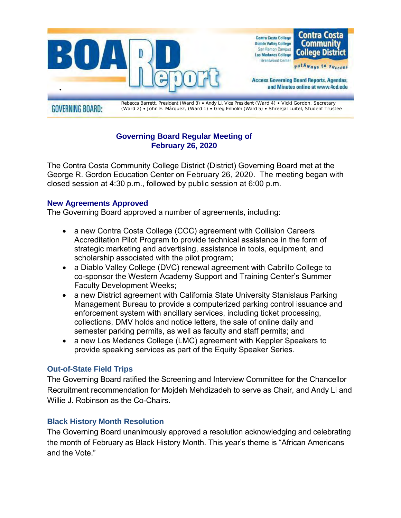

**GOVERNING BOARD:** 

Rebecca Barrett, President (Ward 3) • Andy Li, Vice President (Ward 4) • Vicki Gordon, Secretary (Ward 2) • John E. Márquez, (Ward 1) • Greg Enholm (Ward 5) • Shreejal Luitel, Student Trustee

# **Governing Board Regular Meeting of February 26, 2020**

The Contra Costa Community College District (District) Governing Board met at the George R. Gordon Education Center on February 26, 2020. The meeting began with closed session at 4:30 p.m., followed by public session at 6:00 p.m.

## **New Agreements Approved**

The Governing Board approved a number of agreements, including:

- a new Contra Costa College (CCC) agreement with Collision Careers Accreditation Pilot Program to provide technical assistance in the form of strategic marketing and advertising, assistance in tools, equipment, and scholarship associated with the pilot program;
- a Diablo Valley College (DVC) renewal agreement with Cabrillo College to co-sponsor the Western Academy Support and Training Center's Summer Faculty Development Weeks;
- a new District agreement with California State University Stanislaus Parking Management Bureau to provide a computerized parking control issuance and enforcement system with ancillary services, including ticket processing, collections, DMV holds and notice letters, the sale of online daily and semester parking permits, as well as faculty and staff permits; and
- a new Los Medanos College (LMC) agreement with Keppler Speakers to provide speaking services as part of the Equity Speaker Series.

## **Out-of-State Field Trips**

The Governing Board ratified the Screening and Interview Committee for the Chancellor Recruitment recommendation for Mojdeh Mehdizadeh to serve as Chair, and Andy Li and Willie J. Robinson as the Co-Chairs.

## **Black History Month Resolution**

The Governing Board unanimously approved a resolution acknowledging and celebrating the month of February as Black History Month. This year's theme is "African Americans and the Vote."